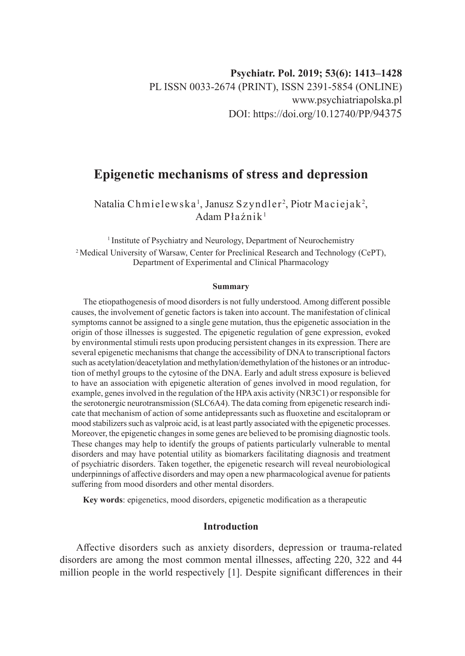# **Epigenetic mechanisms of stress and depression**

Natalia Chmielewska', Janusz Szyndler<sup>2</sup>, Piotr Maciejak<sup>2</sup>, Adam Płaźnik<sup>1</sup>

<sup>1</sup> Institute of Psychiatry and Neurology, Department of Neurochemistry 2 Medical University of Warsaw, Center for Preclinical Research and Technology (CePT), Department of Experimental and Clinical Pharmacology

#### **Summary**

The etiopathogenesis of mood disorders is not fully understood. Among different possible causes, the involvement of genetic factors is taken into account. The manifestation of clinical symptoms cannot be assigned to a single gene mutation, thus the epigenetic association in the origin of those illnesses is suggested. The epigenetic regulation of gene expression, evoked by environmental stimuli rests upon producing persistent changes in its expression. There are several epigenetic mechanisms that change the accessibility of DNA to transcriptional factors such as acetylation/deacetylation and methylation/demethylation of the histones or an introduction of methyl groups to the cytosine of the DNA. Early and adult stress exposure is believed to have an association with epigenetic alteration of genes involved in mood regulation, for example, genes involved in the regulation of the HPA axis activity (NR3C1) or responsible for the serotonergic neurotransmission (SLC6A4). The data coming from epigenetic research indicate that mechanism of action of some antidepressants such as fluoxetine and escitalopram or mood stabilizers such as valproic acid, is at least partly associated with the epigenetic processes. Moreover, the epigenetic changes in some genes are believed to be promising diagnostic tools. These changes may help to identify the groups of patients particularly vulnerable to mental disorders and may have potential utility as biomarkers facilitating diagnosis and treatment of psychiatric disorders. Taken together, the epigenetic research will reveal neurobiological underpinnings of affective disorders and may open a new pharmacological avenue for patients suffering from mood disorders and other mental disorders.

**Key words**: epigenetics, mood disorders, epigenetic modification as a therapeutic

# **Introduction**

Affective disorders such as anxiety disorders, depression or trauma-related disorders are among the most common mental illnesses, affecting 220, 322 and 44 million people in the world respectively [1]. Despite significant differences in their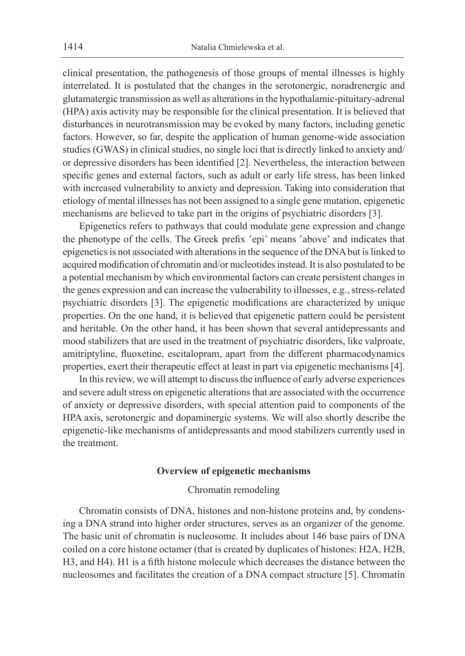clinical presentation, the pathogenesis of those groups of mental illnesses is highly interrelated. It is postulated that the changes in the serotonergic, noradrenergic and glutamatergic transmission as well as alterations in the hypothalamic-pituitary-adrenal (HPA) axis activity may be responsible for the clinical presentation. It is believed that disturbances in neurotransmission may be evoked by many factors, including genetic factors. However, so far, despite the application of human genome-wide association studies (GWAS) in clinical studies, no single loci that is directly linked to anxiety and/ or depressive disorders has been identified [2]. Nevertheless, the interaction between specific genes and external factors, such as adult or early life stress, has been linked with increased vulnerability to anxiety and depression. Taking into consideration that etiology of mental illnesses has not been assigned to a single gene mutation, epigenetic mechanisms are believed to take part in the origins of psychiatric disorders [3].

Epigenetics refers to pathways that could modulate gene expression and change the phenotype of the cells. The Greek prefix 'epi' means 'above' and indicates that epigenetics is not associated with alterations in the sequence of the DNA but is linked to acquired modification of chromatin and/or nucleotides instead. It is also postulated to be a potential mechanism by which environmental factors can create persistent changes in the genes expression and can increase the vulnerability to illnesses, e.g., stress-related psychiatric disorders [3]. The epigenetic modifications are characterized by unique properties. On the one hand, it is believed that epigenetic pattern could be persistent and heritable. On the other hand, it has been shown that several antidepressants and mood stabilizers that are used in the treatment of psychiatric disorders, like valproate, amitriptyline, fluoxetine, escitalopram, apart from the different pharmacodynamics properties, exert their therapeutic effect at least in part via epigenetic mechanisms [4].

In this review, we will attempt to discuss the influence of early adverse experiences and severe adult stress on epigenetic alterations that are associated with the occurrence of anxiety or depressive disorders, with special attention paid to components of the HPA axis, serotonergic and dopaminergic systems. We will also shortly describe the epigenetic-like mechanisms of antidepressants and mood stabilizers currently used in the treatment.

#### **Overview of epigenetic mechanisms**

# Chromatin remodeling

Chromatin consists of DNA, histones and non-histone proteins and, by condensing a DNA strand into higher order structures, serves as an organizer of the genome. The basic unit of chromatin is nucleosome. It includes about 146 base pairs of DNA coiled on a core histone octamer (that is created by duplicates of histones: H2A, H2B, H3, and H4). H1 is a fifth histone molecule which decreases the distance between the nucleosomes and facilitates the creation of a DNA compact structure [5]. Chromatin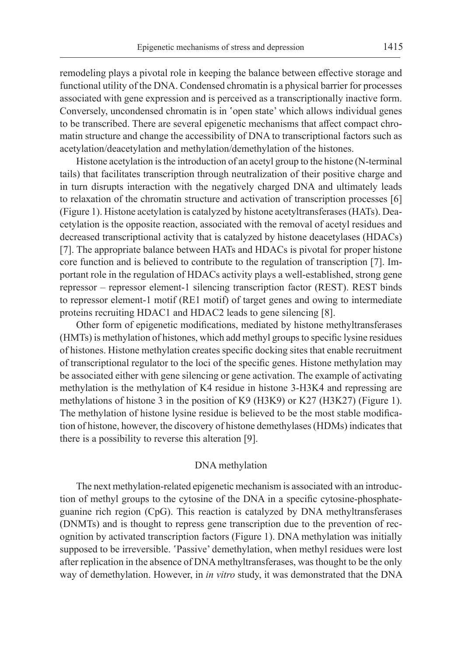remodeling plays a pivotal role in keeping the balance between effective storage and functional utility of the DNA. Condensed chromatin is a physical barrier for processes associated with gene expression and is perceived as a transcriptionally inactive form. Conversely, uncondensed chromatin is in 'open state' which allows individual genes to be transcribed. There are several epigenetic mechanisms that affect compact chromatin structure and change the accessibility of DNA to transcriptional factors such as acetylation/deacetylation and methylation/demethylation of the histones.

Histone acetylation is the introduction of an acetyl group to the histone (N-terminal tails) that facilitates transcription through neutralization of their positive charge and in turn disrupts interaction with the negatively charged DNA and ultimately leads to relaxation of the chromatin structure and activation of transcription processes [6] (Figure 1). Histone acetylation is catalyzed by histone acetyltransferases (HATs). Deacetylation is the opposite reaction, associated with the removal of acetyl residues and decreased transcriptional activity that is catalyzed by histone deacetylases (HDACs) [7]. The appropriate balance between HATs and HDACs is pivotal for proper histone core function and is believed to contribute to the regulation of transcription [7]. Important role in the regulation of HDACs activity plays a well-established, strong gene repressor – repressor element-1 silencing transcription factor (REST). REST binds to repressor element-1 motif (RE1 motif) of target genes and owing to intermediate proteins recruiting HDAC1 and HDAC2 leads to gene silencing [8].

Other form of epigenetic modifications, mediated by histone methyltransferases (HMTs) is methylation of histones, which add methyl groups to specific lysine residues of histones. Histone methylation creates specific docking sites that enable recruitment of transcriptional regulator to the loci of the specific genes. Histone methylation may be associated either with gene silencing or gene activation. The example of activating methylation is the methylation of K4 residue in histone 3-H3K4 and repressing are methylations of histone 3 in the position of K9 (H3K9) or K27 (H3K27) (Figure 1). The methylation of histone lysine residue is believed to be the most stable modification of histone, however, the discovery of histone demethylases (HDMs) indicates that there is a possibility to reverse this alteration [9].

#### DNA methylation

The next methylation-related epigenetic mechanism is associated with an introduction of methyl groups to the cytosine of the DNA in a specific cytosine-phosphateguanine rich region (CpG). This reaction is catalyzed by DNA methyltransferases (DNMTs) and is thought to repress gene transcription due to the prevention of recognition by activated transcription factors (Figure 1). DNA methylation was initially supposed to be irreversible. 'Passive' demethylation, when methyl residues were lost after replication in the absence of DNA methyltransferases, was thought to be the only way of demethylation. However, in *in vitro* study, it was demonstrated that the DNA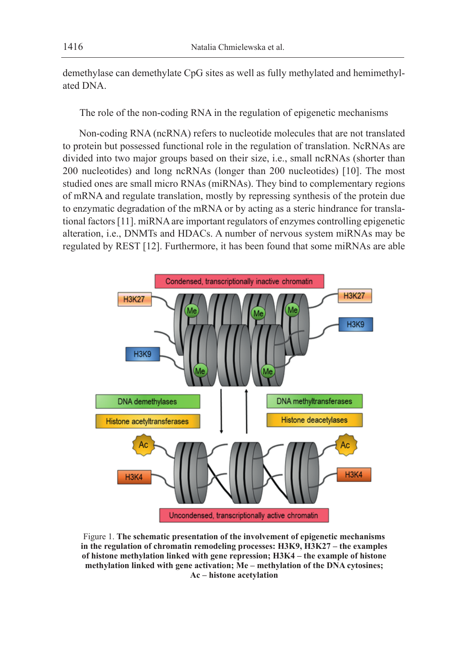demethylase can demethylate CpG sites as well as fully methylated and hemimethylated DNA.

The role of the non-coding RNA in the regulation of epigenetic mechanisms

Non-coding RNA (ncRNA) refers to nucleotide molecules that are not translated to protein but possessed functional role in the regulation of translation. NcRNAs are divided into two major groups based on their size, i.e., small ncRNAs (shorter than 200 nucleotides) and long ncRNAs (longer than 200 nucleotides) [10]. The most studied ones are small micro RNAs (miRNAs). They bind to complementary regions of mRNA and regulate translation, mostly by repressing synthesis of the protein due to enzymatic degradation of the mRNA or by acting as a steric hindrance for translational factors [11]. miRNA are important regulators of enzymes controlling epigenetic alteration, i.e., DNMTs and HDACs. A number of nervous system miRNAs may be regulated by REST [12]. Furthermore, it has been found that some miRNAs are able



Figure 1. **The schematic presentation of the involvement of epigenetic mechanisms in the regulation of chromatin remodeling processes: H3K9, H3K27 – the examples of histone methylation linked with gene repression; H3K4 – the example of histone methylation linked with gene activation; Me – methylation of the DNA cytosines; Ac – histone acetylation**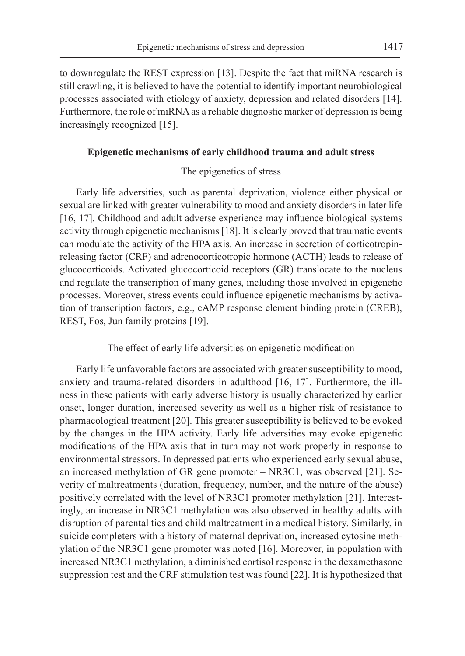to downregulate the REST expression [13]. Despite the fact that miRNA research is still crawling, it is believed to have the potential to identify important neurobiological processes associated with etiology of anxiety, depression and related disorders [14]. Furthermore, the role of miRNA as a reliable diagnostic marker of depression is being increasingly recognized [15].

# **Epigenetic mechanisms of early childhood trauma and adult stress**

# The epigenetics of stress

Early life adversities, such as parental deprivation, violence either physical or sexual are linked with greater vulnerability to mood and anxiety disorders in later life [16, 17]. Childhood and adult adverse experience may influence biological systems activity through epigenetic mechanisms [18]. It is clearly proved that traumatic events can modulate the activity of the HPA axis. An increase in secretion of corticotropinreleasing factor (CRF) and adrenocorticotropic hormone (ACTH) leads to release of glucocorticoids. Activated glucocorticoid receptors (GR) translocate to the nucleus and regulate the transcription of many genes, including those involved in epigenetic processes. Moreover, stress events could influence epigenetic mechanisms by activation of transcription factors, e.g., cAMP response element binding protein (CREB), REST, Fos, Jun family proteins [19].

#### The effect of early life adversities on epigenetic modification

Early life unfavorable factors are associated with greater susceptibility to mood, anxiety and trauma-related disorders in adulthood [16, 17]. Furthermore, the illness in these patients with early adverse history is usually characterized by earlier onset, longer duration, increased severity as well as a higher risk of resistance to pharmacological treatment [20]. This greater susceptibility is believed to be evoked by the changes in the HPA activity. Early life adversities may evoke epigenetic modifications of the HPA axis that in turn may not work properly in response to environmental stressors. In depressed patients who experienced early sexual abuse, an increased methylation of GR gene promoter – NR3C1, was observed [21]. Severity of maltreatments (duration, frequency, number, and the nature of the abuse) positively correlated with the level of NR3C1 promoter methylation [21]. Interestingly, an increase in NR3C1 methylation was also observed in healthy adults with disruption of parental ties and child maltreatment in a medical history. Similarly, in suicide completers with a history of maternal deprivation, increased cytosine methylation of the NR3C1 gene promoter was noted [16]. Moreover, in population with increased NR3C1 methylation, a diminished cortisol response in the dexamethasone suppression test and the CRF stimulation test was found [22]. It is hypothesized that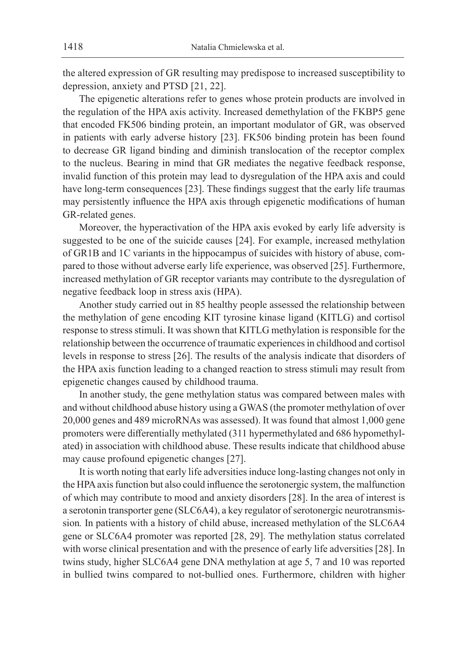the altered expression of GR resulting may predispose to increased susceptibility to depression, anxiety and PTSD [21, 22].

The epigenetic alterations refer to genes whose protein products are involved in the regulation of the HPA axis activity. Increased demethylation of the FKBP5 gene that encoded FK506 binding protein, an important modulator of GR, was observed in patients with early adverse history [23]. FK506 binding protein has been found to decrease GR ligand binding and diminish translocation of the receptor complex to the nucleus. Bearing in mind that GR mediates the negative feedback response, invalid function of this protein may lead to dysregulation of the HPA axis and could have long-term consequences [23]. These findings suggest that the early life traumas may persistently influence the HPA axis through epigenetic modifications of human GR-related genes.

Moreover, the hyperactivation of the HPA axis evoked by early life adversity is suggested to be one of the suicide causes [24]. For example, increased methylation of GR1B and 1C variants in the hippocampus of suicides with history of abuse, compared to those without adverse early life experience, was observed [25]. Furthermore, increased methylation of GR receptor variants may contribute to the dysregulation of negative feedback loop in stress axis (HPA).

Another study carried out in 85 healthy people assessed the relationship between the methylation of gene encoding KIT tyrosine kinase ligand (KITLG) and cortisol response to stress stimuli. It was shown that KITLG methylation is responsible for the relationship between the occurrence of traumatic experiences in childhood and cortisol levels in response to stress [26]. The results of the analysis indicate that disorders of the HPA axis function leading to a changed reaction to stress stimuli may result from epigenetic changes caused by childhood trauma.

In another study, the gene methylation status was compared between males with and without childhood abuse history using a GWAS (the promoter methylation of over 20,000 genes and 489 microRNAs was assessed). It was found that almost 1,000 gene promoters were differentially methylated (311 hypermethylated and 686 hypomethylated) in association with childhood abuse. These results indicate that childhood abuse may cause profound epigenetic changes [27].

It is worth noting that early life adversities induce long-lasting changes not only in the HPA axis function but also could influence the serotonergic system, the malfunction of which may contribute to mood and anxiety disorders [28]. In the area of interest is a serotonin transporter gene (SLC6A4), a key regulator of serotonergic neurotransmission*.* In patients with a history of child abuse, increased methylation of the SLC6A4 gene or SLC6A4 promoter was reported [28, 29]. The methylation status correlated with worse clinical presentation and with the presence of early life adversities [28]. In twins study, higher SLC6A4 gene DNA methylation at age 5, 7 and 10 was reported in bullied twins compared to not-bullied ones. Furthermore, children with higher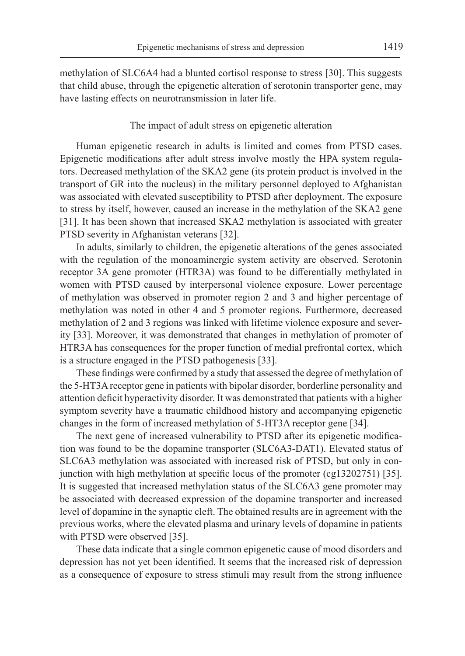methylation of SLC6A4 had a blunted cortisol response to stress [30]. This suggests that child abuse, through the epigenetic alteration of serotonin transporter gene, may have lasting effects on neurotransmission in later life.

#### The impact of adult stress on epigenetic alteration

Human epigenetic research in adults is limited and comes from PTSD cases. Epigenetic modifications after adult stress involve mostly the HPA system regulators. Decreased methylation of the SKA2 gene (its protein product is involved in the transport of GR into the nucleus) in the military personnel deployed to Afghanistan was associated with elevated susceptibility to PTSD after deployment. The exposure to stress by itself, however, caused an increase in the methylation of the SKA2 gene [31]. It has been shown that increased SKA2 methylation is associated with greater PTSD severity in Afghanistan veterans [32].

In adults, similarly to children, the epigenetic alterations of the genes associated with the regulation of the monoaminergic system activity are observed. Serotonin receptor 3A gene promoter (HTR3A) was found to be differentially methylated in women with PTSD caused by interpersonal violence exposure. Lower percentage of methylation was observed in promoter region 2 and 3 and higher percentage of methylation was noted in other 4 and 5 promoter regions. Furthermore, decreased methylation of 2 and 3 regions was linked with lifetime violence exposure and severity [33]. Moreover, it was demonstrated that changes in methylation of promoter of HTR3A has consequences for the proper function of medial prefrontal cortex, which is a structure engaged in the PTSD pathogenesis [33].

These findings were confirmed by a study that assessed the degree of methylation of the 5-HT3A receptor gene in patients with bipolar disorder, borderline personality and attention deficit hyperactivity disorder. It was demonstrated that patients with a higher symptom severity have a traumatic childhood history and accompanying epigenetic changes in the form of increased methylation of 5-HT3A receptor gene [34].

The next gene of increased vulnerability to PTSD after its epigenetic modification was found to be the dopamine transporter (SLC6A3-DAT1). Elevated status of SLC6A3 methylation was associated with increased risk of PTSD, but only in conjunction with high methylation at specific locus of the promoter (cg13202751) [35]. It is suggested that increased methylation status of the SLC6A3 gene promoter may be associated with decreased expression of the dopamine transporter and increased level of dopamine in the synaptic cleft. The obtained results are in agreement with the previous works, where the elevated plasma and urinary levels of dopamine in patients with PTSD were observed [35].

These data indicate that a single common epigenetic cause of mood disorders and depression has not yet been identified. It seems that the increased risk of depression as a consequence of exposure to stress stimuli may result from the strong influence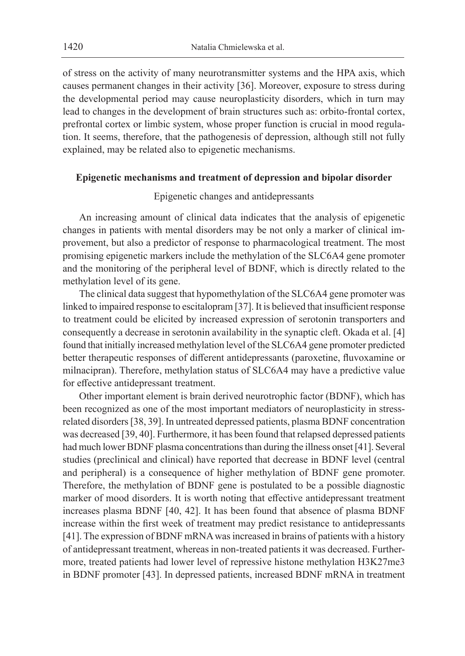of stress on the activity of many neurotransmitter systems and the HPA axis, which causes permanent changes in their activity [36]. Moreover, exposure to stress during the developmental period may cause neuroplasticity disorders, which in turn may lead to changes in the development of brain structures such as: orbito-frontal cortex, prefrontal cortex or limbic system, whose proper function is crucial in mood regulation. It seems, therefore, that the pathogenesis of depression, although still not fully explained, may be related also to epigenetic mechanisms.

#### **Epigenetic mechanisms and treatment of depression and bipolar disorder**

### Epigenetic changes and antidepressants

An increasing amount of clinical data indicates that the analysis of epigenetic changes in patients with mental disorders may be not only a marker of clinical improvement, but also a predictor of response to pharmacological treatment. The most promising epigenetic markers include the methylation of the SLC6A4 gene promoter and the monitoring of the peripheral level of BDNF, which is directly related to the methylation level of its gene.

The clinical data suggest that hypomethylation of the SLC6A4 gene promoter was linked to impaired response to escitalopram [37]. It is believed that insufficient response to treatment could be elicited by increased expression of serotonin transporters and consequently a decrease in serotonin availability in the synaptic cleft. Okada et al. [4] found that initially increased methylation level of the SLC6A4 gene promoter predicted better therapeutic responses of different antidepressants (paroxetine, fluvoxamine or milnacipran). Therefore, methylation status of SLC6A4 may have a predictive value for effective antidepressant treatment.

Other important element is brain derived neurotrophic factor (BDNF), which has been recognized as one of the most important mediators of neuroplasticity in stressrelated disorders [38, 39]. In untreated depressed patients, plasma BDNF concentration was decreased [39, 40]. Furthermore, it has been found that relapsed depressed patients had much lower BDNF plasma concentrations than during the illness onset [41]. Several studies (preclinical and clinical) have reported that decrease in BDNF level (central and peripheral) is a consequence of higher methylation of BDNF gene promoter. Therefore, the methylation of BDNF gene is postulated to be a possible diagnostic marker of mood disorders. It is worth noting that effective antidepressant treatment increases plasma BDNF [40, 42]. It has been found that absence of plasma BDNF increase within the first week of treatment may predict resistance to antidepressants [41]. The expression of BDNF mRNA was increased in brains of patients with a history of antidepressant treatment, whereas in non-treated patients it was decreased. Furthermore, treated patients had lower level of repressive histone methylation H3K27me3 in BDNF promoter [43]. In depressed patients, increased BDNF mRNA in treatment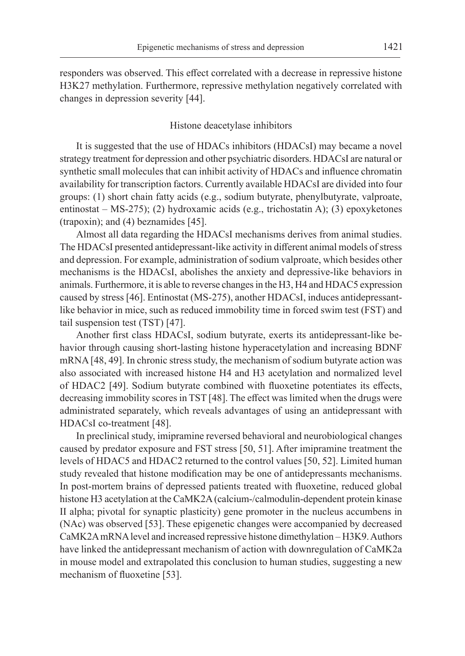responders was observed. This effect correlated with a decrease in repressive histone H3K27 methylation. Furthermore, repressive methylation negatively correlated with changes in depression severity [44].

#### Histone deacetylase inhibitors

It is suggested that the use of HDACs inhibitors (HDACsI) may became a novel strategy treatment for depression and other psychiatric disorders. HDACsI are natural or synthetic small molecules that can inhibit activity of HDACs and influence chromatin availability for transcription factors. Currently available HDACsI are divided into four groups: (1) short chain fatty acids (e.g., sodium butyrate, phenylbutyrate, valproate, entinostat – MS-275); (2) hydroxamic acids (e.g., trichostatin A); (3) epoxyketones (trapoxin); and (4) beznamides [45].

Almost all data regarding the HDACsI mechanisms derives from animal studies. The HDACsI presented antidepressant-like activity in different animal models of stress and depression. For example, administration of sodium valproate, which besides other mechanisms is the HDACsI, abolishes the anxiety and depressive-like behaviors in animals. Furthermore, it is able to reverse changes in the H3, H4 and HDAC5 expression caused by stress [46]. Entinostat (MS-275), another HDACsI, induces antidepressantlike behavior in mice, such as reduced immobility time in forced swim test (FST) and tail suspension test (TST) [47].

Another first class HDACsI, sodium butyrate, exerts its antidepressant-like behavior through causing short-lasting histone hyperacetylation and increasing BDNF mRNA [48, 49]. In chronic stress study, the mechanism of sodium butyrate action was also associated with increased histone H4 and H3 acetylation and normalized level of HDAC2 [49]. Sodium butyrate combined with fluoxetine potentiates its effects, decreasing immobility scores in TST [48]. The effect was limited when the drugs were administrated separately, which reveals advantages of using an antidepressant with HDACsI co-treatment [48].

In preclinical study, imipramine reversed behavioral and neurobiological changes caused by predator exposure and FST stress [50, 51]. After imipramine treatment the levels of HDAC5 and HDAC2 returned to the control values [50, 52]. Limited human study revealed that histone modification may be one of antidepressants mechanisms. In post-mortem brains of depressed patients treated with fluoxetine, reduced global histone H3 acetylation at the CaMK2A (calcium-/calmodulin-dependent protein kinase II alpha; pivotal for synaptic plasticity) gene promoter in the nucleus accumbens in (NAc) was observed [53]. These epigenetic changes were accompanied by decreased CaMK2A mRNA level and increased repressive histone dimethylation – H3K9. Authors have linked the antidepressant mechanism of action with downregulation of CaMK2a in mouse model and extrapolated this conclusion to human studies, suggesting a new mechanism of fluoxetine [53].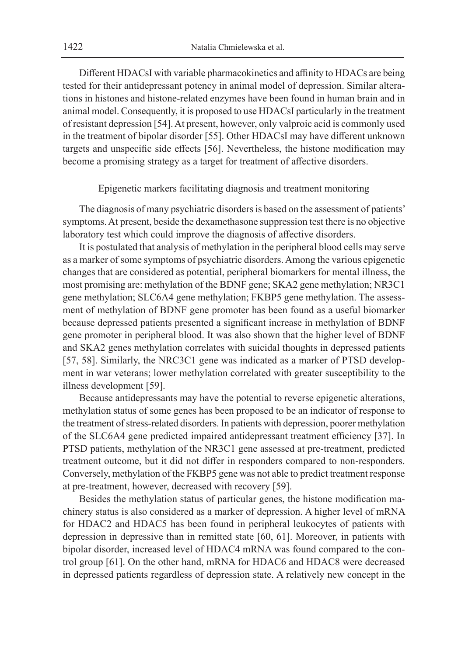Different HDACsI with variable pharmacokinetics and affinity to HDACs are being tested for their antidepressant potency in animal model of depression. Similar alterations in histones and histone-related enzymes have been found in human brain and in animal model. Consequently, it is proposed to use HDACsI particularly in the treatment of resistant depression [54]. At present, however, only valproic acid is commonly used in the treatment of bipolar disorder [55]. Other HDACsI may have different unknown targets and unspecific side effects [56]. Nevertheless, the histone modification may become a promising strategy as a target for treatment of affective disorders.

Epigenetic markers facilitating diagnosis and treatment monitoring

The diagnosis of many psychiatric disorders is based on the assessment of patients' symptoms. At present, beside the dexamethasone suppression test there is no objective laboratory test which could improve the diagnosis of affective disorders.

It is postulated that analysis of methylation in the peripheral blood cells may serve as a marker of some symptoms of psychiatric disorders. Among the various epigenetic changes that are considered as potential, peripheral biomarkers for mental illness, the most promising are: methylation of the BDNF gene; SKA2 gene methylation; NR3C1 gene methylation; SLC6A4 gene methylation; FKBP5 gene methylation. The assessment of methylation of BDNF gene promoter has been found as a useful biomarker because depressed patients presented a significant increase in methylation of BDNF gene promoter in peripheral blood. It was also shown that the higher level of BDNF and SKA2 genes methylation correlates with suicidal thoughts in depressed patients [57, 58]. Similarly, the NRC3C1 gene was indicated as a marker of PTSD development in war veterans; lower methylation correlated with greater susceptibility to the illness development [59].

Because antidepressants may have the potential to reverse epigenetic alterations, methylation status of some genes has been proposed to be an indicator of response to the treatment of stress-related disorders. In patients with depression, poorer methylation of the SLC6A4 gene predicted impaired antidepressant treatment efficiency [37]. In PTSD patients, methylation of the NR3C1 gene assessed at pre-treatment, predicted treatment outcome, but it did not differ in responders compared to non-responders. Conversely, methylation of the FKBP5 gene was not able to predict treatment response at pre-treatment, however, decreased with recovery [59].

Besides the methylation status of particular genes, the histone modification machinery status is also considered as a marker of depression. A higher level of mRNA for HDAC2 and HDAC5 has been found in peripheral leukocytes of patients with depression in depressive than in remitted state [60, 61]. Moreover, in patients with bipolar disorder, increased level of HDAC4 mRNA was found compared to the control group [61]. On the other hand, mRNA for HDAC6 and HDAC8 were decreased in depressed patients regardless of depression state. A relatively new concept in the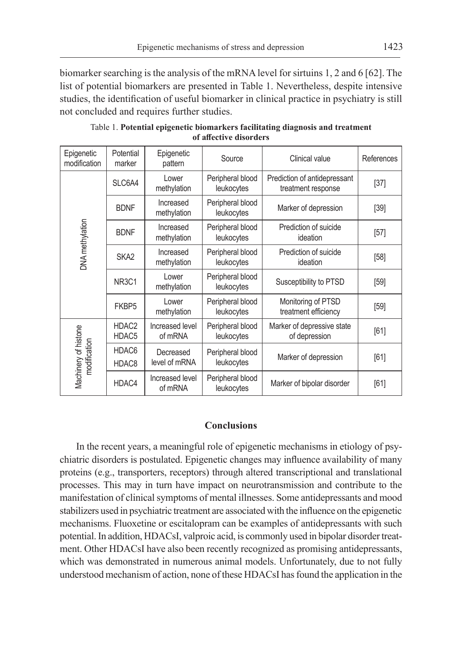biomarker searching is the analysis of the mRNA level for sirtuins 1, 2 and 6 [62]. The list of potential biomarkers are presented in Table 1. Nevertheless, despite intensive studies, the identification of useful biomarker in clinical practice in psychiatry is still not concluded and requires further studies.

| Epigenetic<br>modification           | Potential<br>marker            | Epigenetic<br>pattern      | Source                         | Clinical value                                     | References |
|--------------------------------------|--------------------------------|----------------------------|--------------------------------|----------------------------------------------------|------------|
| DNA methylation                      | SLC6A4                         | Lower<br>methylation       | Peripheral blood<br>leukocytes | Prediction of antidepressant<br>treatment response | $[37]$     |
|                                      | <b>BDNF</b>                    | Increased<br>methylation   | Peripheral blood<br>leukocytes | Marker of depression                               | $[39]$     |
|                                      | <b>BDNF</b>                    | Increased<br>methylation   | Peripheral blood<br>leukocytes | Prediction of suicide<br>ideation                  | $[57]$     |
|                                      | SKA <sub>2</sub>               | Increased<br>methylation   | Peripheral blood<br>leukocytes | Prediction of suicide<br>ideation                  | [58]       |
|                                      | NR <sub>3</sub> C <sub>1</sub> | Lower<br>methylation       | Peripheral blood<br>leukocytes | Susceptibility to PTSD                             | $[59]$     |
|                                      | FKBP5                          | Lower<br>methylation       | Peripheral blood<br>leukocytes | Monitoring of PTSD<br>treatment efficiency         | [59]       |
| Machinery of histone<br>modification | HDAC <sub>2</sub><br>HDAC5     | Increased level<br>of mRNA | Peripheral blood<br>leukocytes | Marker of depressive state<br>of depression        | [61]       |
|                                      | HDAC6<br>HDAC <sub>8</sub>     | Decreased<br>level of mRNA | Peripheral blood<br>leukocytes | Marker of depression                               | [61]       |
|                                      | HDAC4                          | Increased level<br>of mRNA | Peripheral blood<br>leukocytes | Marker of bipolar disorder                         | [61]       |

Table 1. **Potential epigenetic biomarkers facilitating diagnosis and treatment of affective disorders**

# **Conclusions**

In the recent years, a meaningful role of epigenetic mechanisms in etiology of psychiatric disorders is postulated. Epigenetic changes may influence availability of many proteins (e.g., transporters, receptors) through altered transcriptional and translational processes. This may in turn have impact on neurotransmission and contribute to the manifestation of clinical symptoms of mental illnesses. Some antidepressants and mood stabilizers used in psychiatric treatment are associated with the influence on the epigenetic mechanisms. Fluoxetine or escitalopram can be examples of antidepressants with such potential. In addition, HDACsI, valproic acid, is commonly used in bipolar disorder treatment. Other HDACsI have also been recently recognized as promising antidepressants, which was demonstrated in numerous animal models. Unfortunately, due to not fully understood mechanism of action, none of these HDACsI has found the application in the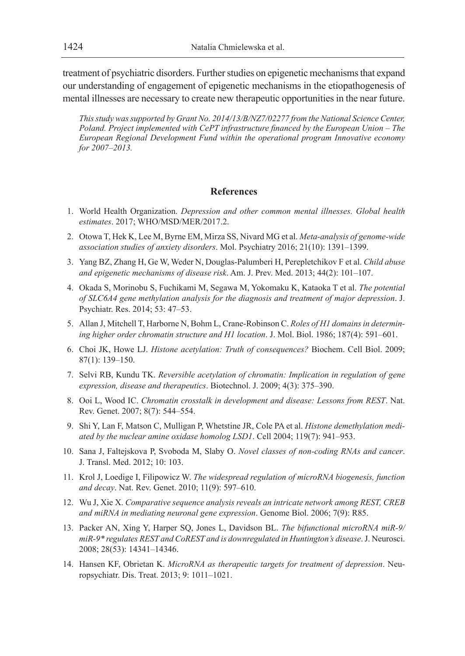treatment of psychiatric disorders. Further studies on epigenetic mechanisms that expand our understanding of engagement of epigenetic mechanisms in the etiopathogenesis of mental illnesses are necessary to create new therapeutic opportunities in the near future.

*This study was supported by Grant No. 2014/13/B/NZ7/02277 from the National Science Center, Poland. Project implemented with CePT infrastructure financed by the European Union – The European Regional Development Fund within the operational program Innovative economy for 2007–2013.*

# **References**

- 1. World Health Organization. *Depression and other common mental illnesses. Global health estimates*. 2017; WHO/MSD/MER/2017.2.
- 2. Otowa T, Hek K, Lee M, Byrne EM, Mirza SS, Nivard MG et al. *Meta-analysis of genome-wide association studies of anxiety disorders*. Mol. Psychiatry 2016; 21(10): 1391–1399.
- 3. Yang BZ, Zhang H, Ge W, Weder N, Douglas-Palumberi H, Perepletchikov F et al. *Child abuse and epigenetic mechanisms of disease risk*. Am. J. Prev. Med. 2013; 44(2): 101–107.
- 4. Okada S, Morinobu S, Fuchikami M, Segawa M, Yokomaku K, Kataoka T et al. *The potential of SLC6A4 gene methylation analysis for the diagnosis and treatment of major depression*. J. Psychiatr. Res. 2014; 53: 47–53.
- 5. Allan J, Mitchell T, Harborne N, Bohm L, Crane-Robinson C. *Roles of H1 domains in determining higher order chromatin structure and H1 location*. J. Mol. Biol. 1986; 187(4): 591–601.
- 6. Choi JK, Howe LJ. *Histone acetylation: Truth of consequences?* Biochem. Cell Biol. 2009; 87(1): 139–150.
- 7. Selvi RB, Kundu TK. *Reversible acetylation of chromatin: Implication in regulation of gene expression, disease and therapeutics*. Biotechnol. J. 2009; 4(3): 375–390.
- 8. Ooi L, Wood IC. *Chromatin crosstalk in development and disease: Lessons from REST*. Nat. Rev. Genet. 2007; 8(7): 544–554.
- 9. Shi Y, Lan F, Matson C, Mulligan P, Whetstine JR, Cole PA et al. *Histone demethylation mediated by the nuclear amine oxidase homolog LSD1*. Cell 2004; 119(7): 941–953.
- 10. Sana J, Faltejskova P, Svoboda M, Slaby O. *Novel classes of non-coding RNAs and cancer*. J. Transl. Med. 2012; 10: 103.
- 11. Krol J, Loedige I, Filipowicz W. *The widespread regulation of microRNA biogenesis, function and decay*. Nat. Rev. Genet. 2010; 11(9): 597–610.
- 12. Wu J, Xie X. *Comparative sequence analysis reveals an intricate network among REST, CREB and miRNA in mediating neuronal gene expression*. Genome Biol. 2006; 7(9): R85.
- 13. Packer AN, Xing Y, Harper SQ, Jones L, Davidson BL. *The bifunctional microRNA miR-9/ miR-9\* regulates REST and CoREST and is downregulated in Huntington's disease*. J. Neurosci. 2008; 28(53): 14341–14346.
- 14. Hansen KF, Obrietan K. *MicroRNA as therapeutic targets for treatment of depression*. Neuropsychiatr. Dis. Treat. 2013; 9: 1011–1021.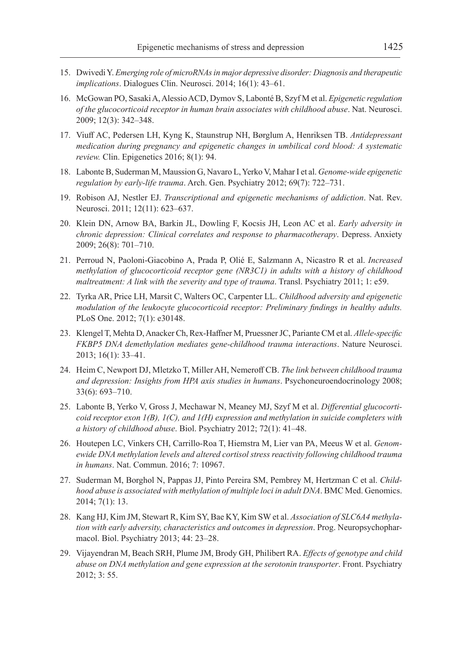- 15. Dwivedi Y. *Emerging role of microRNAs in major depressive disorder: Diagnosis and therapeutic implications*. Dialogues Clin. Neurosci. 2014; 16(1): 43–61.
- 16. McGowan PO, Sasaki A, Alessio ACD, Dymov S, Labonté B, Szyf M et al. *Epigenetic regulation of the glucocorticoid receptor in human brain associates with childhood abuse*. Nat. Neurosci. 2009; 12(3): 342–348.
- 17. Viuff AC, Pedersen LH, Kyng K, Staunstrup NH, Børglum A, Henriksen TB. *Antidepressant medication during pregnancy and epigenetic changes in umbilical cord blood: A systematic review.* Clin. Epigenetics 2016; 8(1): 94.
- 18. Labonte B, Suderman M, Maussion G, Navaro L, Yerko V, Mahar I et al. *Genome-wide epigenetic regulation by early-life trauma*. Arch. Gen. Psychiatry 2012; 69(7): 722–731.
- 19. Robison AJ, Nestler EJ. *Transcriptional and epigenetic mechanisms of addiction*. Nat. Rev. Neurosci. 2011; 12(11): 623–637.
- 20. Klein DN, Arnow BA, Barkin JL, Dowling F, Kocsis JH, Leon AC et al. *Early adversity in chronic depression: Clinical correlates and response to pharmacotherapy*. Depress. Anxiety 2009; 26(8): 701–710.
- 21. Perroud N, Paoloni-Giacobino A, Prada P, Olié E, Salzmann A, Nicastro R et al. *Increased methylation of glucocorticoid receptor gene (NR3C1) in adults with a history of childhood maltreatment: A link with the severity and type of trauma*. Transl. Psychiatry 2011; 1: e59.
- 22. Tyrka AR, Price LH, Marsit C, Walters OC, Carpenter LL. *Childhood adversity and epigenetic modulation of the leukocyte glucocorticoid receptor: Preliminary findings in healthy adults.*  PLoS One. 2012; 7(1): e30148.
- 23. Klengel T, Mehta D, Anacker Ch, Rex-Haffner M, Pruessner JC, Pariante CM et al. *Allele-specific FKBP5 DNA demethylation mediates gene-childhood trauma interactions*. Nature Neurosci. 2013; 16(1): 33–41.
- 24. Heim C, Newport DJ, Mletzko T, Miller AH, Nemeroff CB. *The link between childhood trauma and depression: Insights from HPA axis studies in humans*. Psychoneuroendocrinology 2008; 33(6): 693–710.
- 25. Labonte B, Yerko V, Gross J, Mechawar N, Meaney MJ, Szyf M et al. *Differential glucocorticoid receptor exon 1(B), 1(C), and 1(H) expression and methylation in suicide completers with a history of childhood abuse*. Biol. Psychiatry 2012; 72(1): 41–48.
- 26. Houtepen LC, Vinkers CH, Carrillo-Roa T, Hiemstra M, Lier van PA, Meeus W et al. *Genomewide DNA methylation levels and altered cortisol stress reactivity following childhood trauma in humans*. Nat. Commun. 2016; 7: 10967.
- 27. Suderman M, Borghol N, Pappas JJ, Pinto Pereira SM, Pembrey M, Hertzman C et al. *Childhood abuse is associated with methylation of multiple loci in adult DNA*. BMC Med. Genomics. 2014; 7(1): 13.
- 28. Kang HJ, Kim JM, Stewart R, Kim SY, Bae KY, Kim SW et al. *Association of SLC6A4 methylation with early adversity, characteristics and outcomes in depression*. Prog. Neuropsychopharmacol. Biol. Psychiatry 2013; 44: 23–28.
- 29. Vijayendran M, Beach SRH, Plume JM, Brody GH, Philibert RA. *Effects of genotype and child abuse on DNA methylation and gene expression at the serotonin transporter*. Front. Psychiatry 2012; 3: 55.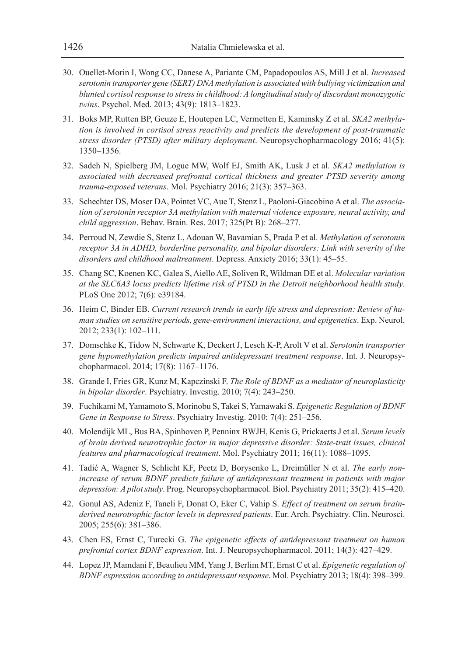- 30. Ouellet-Morin I, Wong CC, Danese A, Pariante CM, Papadopoulos AS, Mill J et al. *Increased serotonin transporter gene (SERT) DNA methylation is associated with bullying victimization and blunted cortisol response to stress in childhood: A longitudinal study of discordant monozygotic twins*. Psychol. Med. 2013; 43(9): 1813–1823.
- 31. Boks MP, Rutten BP, Geuze E, Houtepen LC, Vermetten E, Kaminsky Z et al. *SKA2 methylation is involved in cortisol stress reactivity and predicts the development of post-traumatic stress disorder (PTSD) after military deployment*. Neuropsychopharmacology 2016; 41(5): 1350–1356.
- 32. Sadeh N, Spielberg JM, Logue MW, Wolf EJ, Smith AK, Lusk J et al. *SKA2 methylation is associated with decreased prefrontal cortical thickness and greater PTSD severity among trauma-exposed veterans*. Mol. Psychiatry 2016; 21(3): 357–363.
- 33. Schechter DS, Moser DA, Pointet VC, Aue T, Stenz L, Paoloni-Giacobino A et al. *The association of serotonin receptor 3A methylation with maternal violence exposure, neural activity, and child aggression*. Behav. Brain. Res. 2017; 325(Pt B): 268–277.
- 34. Perroud N, Zewdie S, Stenz L, Adouan W, Bavamian S, Prada P et al. *Methylation of serotonin receptor 3A in ADHD, borderline personality, and bipolar disorders: Link with severity of the disorders and childhood maltreatment*. Depress. Anxiety 2016; 33(1): 45–55.
- 35. Chang SC, Koenen KC, Galea S, Aiello AE, Soliven R, Wildman DE et al. *Molecular variation at the SLC6A3 locus predicts lifetime risk of PTSD in the Detroit neighborhood health study*. PLoS One 2012; 7(6): e39184.
- 36. Heim C, Binder EB. *Current research trends in early life stress and depression: Review of human studies on sensitive periods, gene-environment interactions, and epigenetics*. Exp. Neurol. 2012; 233(1): 102–111.
- 37. Domschke K, Tidow N, Schwarte K, Deckert J, Lesch K-P, Arolt V et al. *Serotonin transporter gene hypomethylation predicts impaired antidepressant treatment response*. Int. J. Neuropsychopharmacol. 2014; 17(8): 1167–1176.
- 38. Grande I, Fries GR, Kunz M, Kapczinski F. *The Role of BDNF as a mediator of neuroplasticity in bipolar disorder*. Psychiatry. Investig. 2010; 7(4): 243–250.
- 39. Fuchikami M, Yamamoto S, Morinobu S, Takei S, Yamawaki S. *Epigenetic Regulation of BDNF Gene in Response to Stress*. Psychiatry Investig. 2010; 7(4): 251–256.
- 40. Molendijk ML, Bus BA, Spinhoven P, Penninx BWJH, Kenis G, Prickaerts J et al. *Serum levels of brain derived neurotrophic factor in major depressive disorder: State-trait issues, clinical features and pharmacological treatment*. Mol. Psychiatry 2011; 16(11): 1088–1095.
- 41. Tadić A, Wagner S, Schlicht KF, Peetz D, Borysenko L, Dreimüller N et al. *The early nonincrease of serum BDNF predicts failure of antidepressant treatment in patients with major depression: A pilot study*. Prog. Neuropsychopharmacol. Biol. Psychiatry 2011; 35(2): 415–420.
- 42. Gonul AS, Adeniz F, Taneli F, Donat O, Eker C, Vahip S. *Effect of treatment on serum brainderived neurotrophic factor levels in depressed patients*. Eur. Arch. Psychiatry. Clin. Neurosci. 2005; 255(6): 381–386.
- 43. Chen ES, Ernst C, Turecki G. *The epigenetic effects of antidepressant treatment on human prefrontal cortex BDNF expression*. Int. J. Neuropsychopharmacol. 2011; 14(3): 427–429.
- 44. Lopez JP, Mamdani F, Beaulieu MM, Yang J, Berlim MT, Ernst C et al. *Epigenetic regulation of BDNF expression according to antidepressant response*. Mol. Psychiatry 2013; 18(4): 398–399.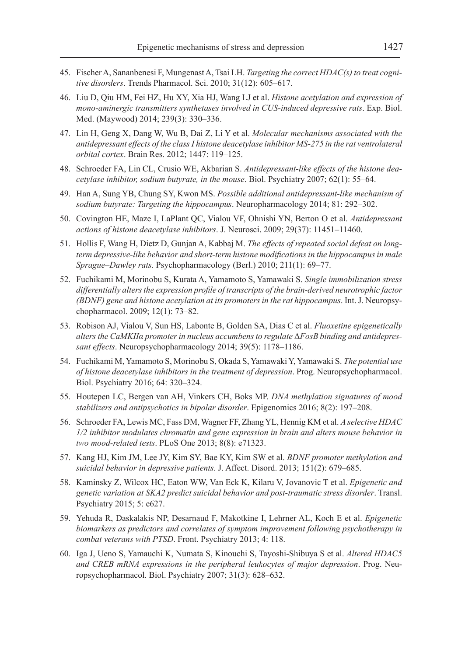- 45. Fischer A, Sananbenesi F, Mungenast A, Tsai LH. *Targeting the correct HDAC(s) to treat cognitive disorders*. Trends Pharmacol. Sci. 2010; 31(12): 605–617.
- 46. Liu D, Qiu HM, Fei HZ, Hu XY, Xia HJ, Wang LJ et al. *Histone acetylation and expression of mono-aminergic transmitters synthetases involved in CUS-induced depressive rats*. Exp. Biol. Med. (Maywood) 2014; 239(3): 330–336.
- 47. Lin H, Geng X, Dang W, Wu B, Dai Z, Li Y et al. *Molecular mechanisms associated with the antidepressant effects of the class I histone deacetylase inhibitor MS-275 in the rat ventrolateral orbital cortex*. Brain Res. 2012; 1447: 119–125.
- 48. Schroeder FA, Lin CL, Crusio WE, Akbarian S. *Antidepressant-like effects of the histone deacetylase inhibitor, sodium butyrate, in the mouse*. Biol. Psychiatry 2007; 62(1): 55–64.
- 49. Han A, Sung YB, Chung SY, Kwon MS. *Possible additional antidepressant-like mechanism of sodium butyrate: Targeting the hippocampus*. Neuropharmacology 2014; 81: 292–302.
- 50. Covington HE, Maze I, LaPlant QC, Vialou VF, Ohnishi YN, Berton O et al. *Antidepressant actions of histone deacetylase inhibitors*. J. Neurosci. 2009; 29(37): 11451–11460.
- 51. Hollis F, Wang H, Dietz D, Gunjan A, Kabbaj M. *The effects of repeated social defeat on longterm depressive-like behavior and short-term histone modifications in the hippocampus in male Sprague–Dawley rats*. Psychopharmacology (Berl.) 2010; 211(1): 69–77.
- 52. Fuchikami M, Morinobu S, Kurata A, Yamamoto S, Yamawaki S. *Single immobilization stress differentially alters the expression profile of transcripts of the brain-derived neurotrophic factor (BDNF) gene and histone acetylation at its promoters in the rat hippocampus*. Int. J. Neuropsychopharmacol. 2009; 12(1): 73–82.
- 53. Robison AJ, Vialou V, Sun HS, Labonte B, Golden SA, Dias C et al. *Fluoxetine epigenetically alters the CaMKIIα promoter in nucleus accumbens to regulate* Δ*FosB binding and antidepressant effects*. Neuropsychopharmacology 2014; 39(5): 1178–1186.
- 54. Fuchikami M, Yamamoto S, Morinobu S, Okada S, Yamawaki Y, Yamawaki S. *The potential use of histone deacetylase inhibitors in the treatment of depression*. Prog. Neuropsychopharmacol. Biol. Psychiatry 2016; 64: 320–324.
- 55. Houtepen LC, Bergen van AH, Vinkers CH, Boks MP. *DNA methylation signatures of mood stabilizers and antipsychotics in bipolar disorder*. Epigenomics 2016; 8(2): 197–208.
- 56. Schroeder FA, Lewis MC, Fass DM, Wagner FF, Zhang YL, Hennig KM et al. *A selective HDAC 1/2 inhibitor modulates chromatin and gene expression in brain and alters mouse behavior in two mood-related tests*. PLoS One 2013; 8(8): e71323.
- 57. Kang HJ, Kim JM, Lee JY, Kim SY, Bae KY, Kim SW et al. *BDNF promoter methylation and suicidal behavior in depressive patients*. J. Affect. Disord. 2013; 151(2): 679–685.
- 58. Kaminsky Z, Wilcox HC, Eaton WW, Van Eck K, Kilaru V, Jovanovic T et al. *Epigenetic and genetic variation at SKA2 predict suicidal behavior and post-traumatic stress disorder*. Transl. Psychiatry 2015; 5: e627.
- 59. Yehuda R, Daskalakis NP, Desarnaud F, Makotkine I, Lehrner AL, Koch E et al. *Epigenetic biomarkers as predictors and correlates of symptom improvement following psychotherapy in combat veterans with PTSD*. Front. Psychiatry 2013; 4: 118.
- 60. Iga J, Ueno S, Yamauchi K, Numata S, Kinouchi S, Tayoshi-Shibuya S et al. *Altered HDAC5 and CREB mRNA expressions in the peripheral leukocytes of major depression*. Prog. Neuropsychopharmacol. Biol. Psychiatry 2007; 31(3): 628–632.